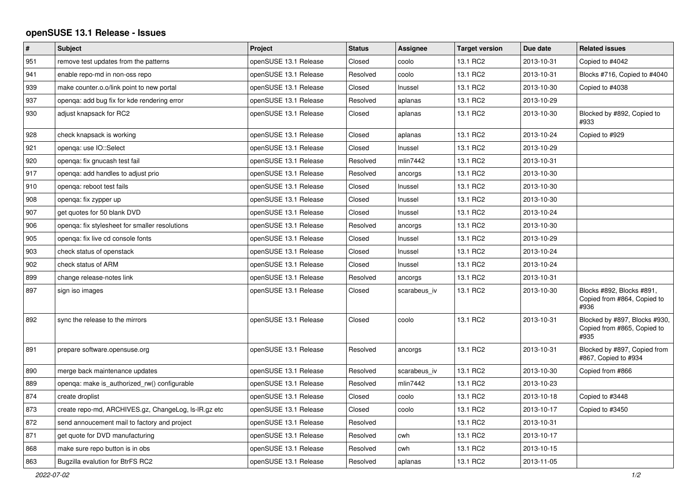## **openSUSE 13.1 Release - Issues**

| $\pmb{\#}$ | <b>Subject</b>                                       | Project               | <b>Status</b> | Assignee     | <b>Target version</b> | Due date   | <b>Related issues</b>                                                |
|------------|------------------------------------------------------|-----------------------|---------------|--------------|-----------------------|------------|----------------------------------------------------------------------|
| 951        | remove test updates from the patterns                | openSUSE 13.1 Release | Closed        | coolo        | 13.1 RC2              | 2013-10-31 | Copied to #4042                                                      |
| 941        | enable repo-md in non-oss repo                       | openSUSE 13.1 Release | Resolved      | coolo        | 13.1 RC2              | 2013-10-31 | Blocks #716, Copied to #4040                                         |
| 939        | make counter.o.o/link point to new portal            | openSUSE 13.1 Release | Closed        | Inussel      | 13.1 RC2              | 2013-10-30 | Copied to #4038                                                      |
| 937        | openga: add bug fix for kde rendering error          | openSUSE 13.1 Release | Resolved      | aplanas      | 13.1 RC2              | 2013-10-29 |                                                                      |
| 930        | adjust knapsack for RC2                              | openSUSE 13.1 Release | Closed        | aplanas      | 13.1 RC2              | 2013-10-30 | Blocked by #892, Copied to<br>#933                                   |
| 928        | check knapsack is working                            | openSUSE 13.1 Release | Closed        | aplanas      | 13.1 RC2              | 2013-10-24 | Copied to #929                                                       |
| 921        | openga: use IO::Select                               | openSUSE 13.1 Release | Closed        | Inussel      | 13.1 RC2              | 2013-10-29 |                                                                      |
| 920        | openqa: fix gnucash test fail                        | openSUSE 13.1 Release | Resolved      | mlin7442     | 13.1 RC2              | 2013-10-31 |                                                                      |
| 917        | openga: add handles to adjust prio                   | openSUSE 13.1 Release | Resolved      | ancorgs      | 13.1 RC2              | 2013-10-30 |                                                                      |
| 910        | openga: reboot test fails                            | openSUSE 13.1 Release | Closed        | Inussel      | 13.1 RC2              | 2013-10-30 |                                                                      |
| 908        | openga: fix zypper up                                | openSUSE 13.1 Release | Closed        | Inussel      | 13.1 RC2              | 2013-10-30 |                                                                      |
| 907        | get quotes for 50 blank DVD                          | openSUSE 13.1 Release | Closed        | Inussel      | 13.1 RC2              | 2013-10-24 |                                                                      |
| 906        | openqa: fix stylesheet for smaller resolutions       | openSUSE 13.1 Release | Resolved      | ancorgs      | 13.1 RC2              | 2013-10-30 |                                                                      |
| 905        | openqa: fix live cd console fonts                    | openSUSE 13.1 Release | Closed        | Inussel      | 13.1 RC2              | 2013-10-29 |                                                                      |
| 903        | check status of openstack                            | openSUSE 13.1 Release | Closed        | Inussel      | 13.1 RC2              | 2013-10-24 |                                                                      |
| 902        | check status of ARM                                  | openSUSE 13.1 Release | Closed        | Inussel      | 13.1 RC2              | 2013-10-24 |                                                                      |
| 899        | change release-notes link                            | openSUSE 13.1 Release | Resolved      | ancorgs      | 13.1 RC2              | 2013-10-31 |                                                                      |
| 897        | sign iso images                                      | openSUSE 13.1 Release | Closed        | scarabeus iv | 13.1 RC2              | 2013-10-30 | Blocks #892, Blocks #891,<br>Copied from #864, Copied to<br>#936     |
| 892        | sync the release to the mirrors                      | openSUSE 13.1 Release | Closed        | coolo        | 13.1 RC2              | 2013-10-31 | Blocked by #897, Blocks #930,<br>Copied from #865, Copied to<br>#935 |
| 891        | prepare software.opensuse.org                        | openSUSE 13.1 Release | Resolved      | ancorgs      | 13.1 RC2              | 2013-10-31 | Blocked by #897, Copied from<br>#867, Copied to #934                 |
| 890        | merge back maintenance updates                       | openSUSE 13.1 Release | Resolved      | scarabeus iv | 13.1 RC2              | 2013-10-30 | Copied from #866                                                     |
| 889        | openga: make is authorized rw() configurable         | openSUSE 13.1 Release | Resolved      | mlin7442     | 13.1 RC2              | 2013-10-23 |                                                                      |
| 874        | create droplist                                      | openSUSE 13.1 Release | Closed        | coolo        | 13.1 RC2              | 2013-10-18 | Copied to #3448                                                      |
| 873        | create repo-md, ARCHIVES.gz, ChangeLog, Is-IR.gz etc | openSUSE 13.1 Release | Closed        | coolo        | 13.1 RC2              | 2013-10-17 | Copied to #3450                                                      |
| 872        | send annoucement mail to factory and project         | openSUSE 13.1 Release | Resolved      |              | 13.1 RC2              | 2013-10-31 |                                                                      |
| 871        | get quote for DVD manufacturing                      | openSUSE 13.1 Release | Resolved      | cwh          | 13.1 RC2              | 2013-10-17 |                                                                      |
| 868        | make sure repo button is in obs                      | openSUSE 13.1 Release | Resolved      | cwh          | 13.1 RC2              | 2013-10-15 |                                                                      |
| 863        | Bugzilla evalution for BtrFS RC2                     | openSUSE 13.1 Release | Resolved      | aplanas      | 13.1 RC2              | 2013-11-05 |                                                                      |